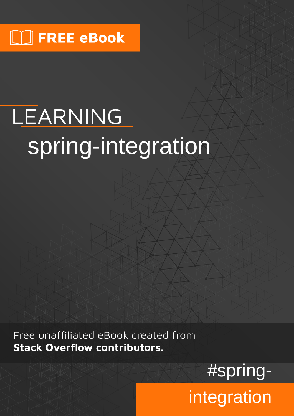# LEARNING spring-integration

Free unaffiliated eBook created from **Stack Overflow contributors.** 

#spring-

integration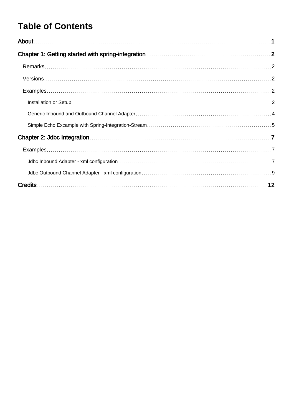# **Table of Contents**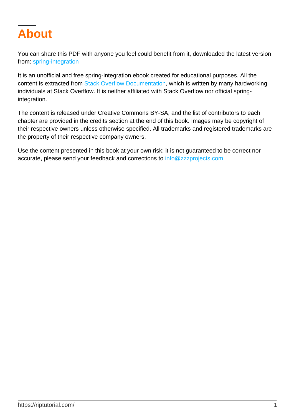<span id="page-2-0"></span>

You can share this PDF with anyone you feel could benefit from it, downloaded the latest version from: [spring-integration](http://riptutorial.com/ebook/spring-integration)

It is an unofficial and free spring-integration ebook created for educational purposes. All the content is extracted from [Stack Overflow Documentation](https://archive.org/details/documentation-dump.7z), which is written by many hardworking individuals at Stack Overflow. It is neither affiliated with Stack Overflow nor official springintegration.

The content is released under Creative Commons BY-SA, and the list of contributors to each chapter are provided in the credits section at the end of this book. Images may be copyright of their respective owners unless otherwise specified. All trademarks and registered trademarks are the property of their respective company owners.

Use the content presented in this book at your own risk; it is not guaranteed to be correct nor accurate, please send your feedback and corrections to [info@zzzprojects.com](mailto:info@zzzprojects.com)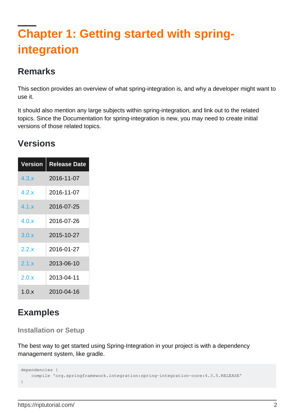# <span id="page-3-0"></span>**Chapter 1: Getting started with springintegration**

### <span id="page-3-1"></span>**Remarks**

This section provides an overview of what spring-integration is, and why a developer might want to use it.

It should also mention any large subjects within spring-integration, and link out to the related topics. Since the Documentation for spring-integration is new, you may need to create initial versions of those related topics.

### <span id="page-3-2"></span>**Versions**

| <b>Version</b> | <b>Release Date</b> |
|----------------|---------------------|
| $4.3 \times$   | 2016-11-07          |
| 4.2.x          | 2016-11-07          |
| 4.1.x          | 2016-07-25          |
| 4.0.x          | 2016-07-26          |
| 3.0.x          | 2015-10-27          |
| 2.2.x          | 2016-01-27          |
| 2.1.x          | 2013-06-10          |
| 2.0.x          | 2013-04-11          |
| 1.0.x          | 2010-04-16          |

## <span id="page-3-3"></span>**Examples**

#### <span id="page-3-4"></span>**Installation or Setup**

The best way to get started using Spring-Integration in your project is with a dependency management system, like gradle.

```
dependencies {
     compile 'org.springframework.integration:spring-integration-core:4.3.5.RELEASE'
}
```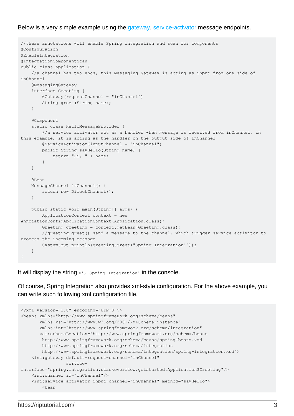#### Below is a very simple example using the [gateway](http://docs.spring.io/spring-integration/docs/4.3.5.RELEASE/reference/html/messaging-endpoints-chapter.html#gateway), [service-activator](http://docs.spring.io/spring-integration/docs/4.3.5.RELEASE/reference/html/messaging-endpoints-chapter.html#service-activator) message endpoints.

```
//these annotations will enable Spring integration and scan for components
@Configuration
@EnableIntegration
@IntegrationComponentScan
public class Application {
     //a channel has two ends, this Messaging Gateway is acting as input from one side of
inChannel
     @MessagingGateway
     interface Greeting {
         @Gateway(requestChannel = "inChannel")
        String greet(String name);
     }
     @Component
     static class HelloMessageProvider {
         //a service activator act as a handler when message is received from inChannel, in
this example, it is acting as the handler on the output side of inChannel
         @ServiceActivator(inputChannel = "inChannel")
        public String sayHello(String name) {
            return "Hi, " + name;
         }
     }
     @Bean
     MessageChannel inChannel() {
       return new DirectChannel();
     }
     public static void main(String[] args) {
        ApplicationContext context = new
AnnotationConfigApplicationContext(Application.class);
        Greeting greeting = context.getBean(Greeting.class);
         //greeting.greet() send a message to the channel, which trigger service activitor to
process the incoming message
        System.out.println(greeting.greet("Spring Integration!"));
     }
}
```
It will display the string Hi, Spring Integration! in the console.

Of course, Spring Integration also provides xml-style configuration. For the above example, you can write such following xml configuration file.

```
<?xml version="1.0" encoding="UTF-8"?>
<beans xmlns="http://www.springframework.org/schema/beans"
        xmlns:xsi="http://www.w3.org/2001/XMLSchema-instance"
        xmlns:int="http://www.springframework.org/schema/integration"
        xsi:schemaLocation="http://www.springframework.org/schema/beans
        http://www.springframework.org/schema/beans/spring-beans.xsd
         http://www.springframework.org/schema/integration
         http://www.springframework.org/schema/integration/spring-integration.xsd">
     <int:gateway default-request-channel="inChannel"
                  service-
interface="spring.integration.stackoverflow.getstarted.Application$Greeting"/>
     <int:channel id="inChannel"/>
     <int:service-activator input-channel="inChannel" method="sayHello">
         <bean
```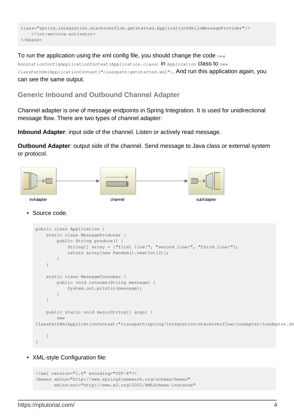```
class="spring.integration.stackoverflow.getstarted.Application$HelloMessageProvider"/>
     </int:service-activator>
</beans>
```
#### To run the application using the xml config file, you should change the code new

```
AnnotationConfigApplicationContext(Application.class) in Application Class to new
ClassPathXmlApplicationContext("classpath:getstarted.xml"). And run this application again, you
can see the same output.
```
#### <span id="page-5-0"></span>**Generic Inbound and Outbound Channel Adapter**

Channel adapter is one of message endpoints in Spring Integration. It is used for unidirectional message flow. There are two types of channel adapter:

**Inbound Adapter**: input side of the channel. Listen or actively read message.

**Outbound Adapter**: output side of the channel. Send message to Java class or external system or protocol.



#### Source code. •

```
public class Application {
     static class MessageProducer {
         public String produce() {
             String[] array = {"first line!", "second line!", "third line!"};
             return array[new Random().nextInt(3)];
         }
     }
     static class MessageConsumer {
        public void consume(String message) {
             System.out.println(message);
 }
     }
     public static void main(String[] args) {
         new
ClassPathXmlApplicationContext("classpath:spring/integration/stackoverflow/ioadapter/ioadapter.xml");
     }
}
```
• XML-style Configuration file:

```
<?xml version="1.0" encoding="UTF-8"?>
<beans xmlns="http://www.springframework.org/schema/beans"
        xmlns:xsi="http://www.w3.org/2001/XMLSchema-instance"
```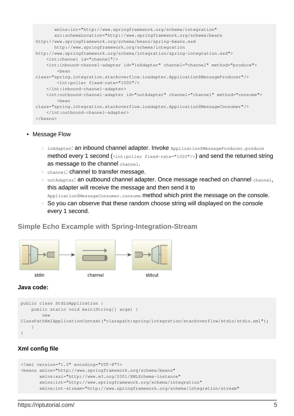```
 xmlns:int="http://www.springframework.org/schema/integration"
        xsi:schemaLocation="http://www.springframework.org/schema/beans
http://www.springframework.org/schema/beans/spring-beans.xsd
        http://www.springframework.org/schema/integration
http://www.springframework.org/schema/integration/spring-integration.xsd">
     <int:channel id="channel"/>
     <int:inbound-channel-adapter id="inAdapter" channel="channel" method="produce">
         <bean
class="spring.integration.stackoverflow.ioadapter.Application$MessageProducer"/>
         <int:poller fixed-rate="1000"/>
     </int:inbound-channel-adapter>
     <int:outbound-channel-adapter id="outAdapter" channel="channel" method="consume">
         <bean
class="spring.integration.stackoverflow.ioadapter.Application$MessageConsumer"/>
     </int:outbound-channel-adapter>
</beans>
```
#### • Message Flow

- inAdapter**: an inbound channel adapter. Invoke** Application\$MessageProducer.produce method every 1 second (<int:poller fixed-rate="1000"/>) and send the returned string as message to the channel channel.
- channel: channel to transfer message.
- outAdapter: an outbound channel adapter. Once message reached on channel channel, this adapter will receive the message and then send it to

Application\$MessageConsumer.consume method which print the message on the console.

○ So you can observe that these random choose string will displayed on the console every 1 second.

#### <span id="page-6-0"></span>**Simple Echo Excample with Spring-Integration-Stream**



#### **Java code:**

```
public class StdioApplication {
     public static void main(String[] args) {
         new
ClassPathXmlApplicationContext("classpath:spring/integration/stackoverflow/stdio/stdio.xml");
     }
}
```
#### **Xml config file**

```
<?xml version="1.0" encoding="UTF-8"?>
<beans xmlns="http://www.springframework.org/schema/beans"
        xmlns:xsi="http://www.w3.org/2001/XMLSchema-instance"
        xmlns:int="http://www.springframework.org/schema/integration"
        xmlns:int-stream="http://www.springframework.org/schema/integration/stream"
```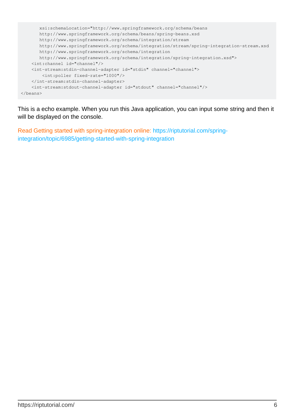```
 xsi:schemaLocation="http://www.springframework.org/schema/beans
        http://www.springframework.org/schema/beans/spring-beans.xsd
       http://www.springframework.org/schema/integration/stream
       http://www.springframework.org/schema/integration/stream/spring-integration-stream.xsd
       http://www.springframework.org/schema/integration
       http://www.springframework.org/schema/integration/spring-integration.xsd">
     <int:channel id="channel"/>
     <int-stream:stdin-channel-adapter id="stdin" channel="channel">
         <int:poller fixed-rate="1000"/>
     </int-stream:stdin-channel-adapter>
     <int-stream:stdout-channel-adapter id="stdout" channel="channel"/>
</beans>
```
This is a echo example. When you run this Java application, you can input some string and then it will be displayed on the console.

Read Getting started with spring-integration online: [https://riptutorial.com/spring](https://riptutorial.com/spring-integration/topic/6985/getting-started-with-spring-integration)[integration/topic/6985/getting-started-with-spring-integration](https://riptutorial.com/spring-integration/topic/6985/getting-started-with-spring-integration)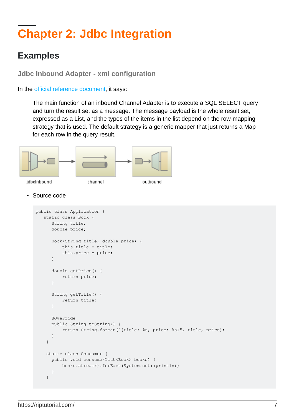# <span id="page-8-0"></span>**Chapter 2: Jdbc Integration**

## <span id="page-8-1"></span>**Examples**

<span id="page-8-2"></span>**Jdbc Inbound Adapter - xml configuration**

In the [official reference document](http://docs.spring.io/spring-integration/reference/html/jdbc.html#jdbc-inbound-channel-adapter), it says:

The main function of an inbound Channel Adapter is to execute a SQL SELECT query and turn the result set as a message. The message payload is the whole result set, expressed as a List, and the types of the items in the list depend on the row-mapping strategy that is used. The default strategy is a generic mapper that just returns a Map for each row in the query result.



Source code •

```
public class Application {
    static class Book {
      String title;
       double price;
       Book(String title, double price) {
           this.title = title;
           this.price = price;
       }
       double getPrice() {
           return price;
       }
       String getTitle() {
           return title;
       }
       @Override
       public String toString() {
           return String.format("{title: %s, price: %s}", title, price);
       }
     }
     static class Consumer {
       public void consume(List<Book> books) {
          books.stream().forEach(System.out::println);
       }
     }
```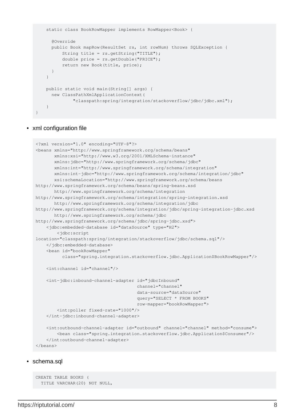```
 static class BookRowMapper implements RowMapper<Book> {
       @Override
       public Book mapRow(ResultSet rs, int rowNum) throws SQLException {
           String title = rs.getString("TITLE");
           double price = rs.getDouble("PRICE");
           return new Book(title, price);
       }
     }
    public static void main(String[] args) {
       new ClassPathXmlApplicationContext(
               "classpath:spring/integration/stackoverflow/jdbc/jdbc.xml");
     }
}
```
#### • xml configuration file

```
<?xml version="1.0" encoding="UTF-8"?>
<beans xmlns="http://www.springframework.org/schema/beans"
        xmlns:xsi="http://www.w3.org/2001/XMLSchema-instance"
        xmlns:jdbc="http://www.springframework.org/schema/jdbc"
        xmlns:int="http://www.springframework.org/schema/integration"
        xmlns:int-jdbc="http://www.springframework.org/schema/integration/jdbc"
        xsi:schemaLocation="http://www.springframework.org/schema/beans
http://www.springframework.org/schema/beans/spring-beans.xsd
        http://www.springframework.org/schema/integration
http://www.springframework.org/schema/integration/spring-integration.xsd
        http://www.springframework.org/schema/integration/jdbc
http://www.springframework.org/schema/integration/jdbc/spring-integration-jdbc.xsd
        http://www.springframework.org/schema/jdbc
http://www.springframework.org/schema/jdbc/spring-jdbc.xsd">
     <jdbc:embedded-database id="dataSource" type="H2">
         <jdbc:script
location="classpath:spring/integration/stackoverflow/jdbc/schema.sql"/>
     </jdbc:embedded-database>
     <bean id="bookRowMapper"
           class="spring.integration.stackoverflow.jdbc.Application$BookRowMapper"/>
     <int:channel id="channel"/>
     <int-jdbc:inbound-channel-adapter id="jdbcInbound"
                                        channel="channel"
                                        data-source="dataSource"
                                        query="SELECT * FROM BOOKS"
                                        row-mapper="bookRowMapper">
         <int:poller fixed-rate="1000"/>
     </int-jdbc:inbound-channel-adapter>
     <int:outbound-channel-adapter id="outbound" channel="channel" method="consume">
         <bean class="spring.integration.stackoverflow.jdbc.Application$Consumer"/>
     </int:outbound-channel-adapter>
</beans>
```
#### • schema.sql

```
CREATE TABLE BOOKS (
   TITLE VARCHAR(20) NOT NULL,
```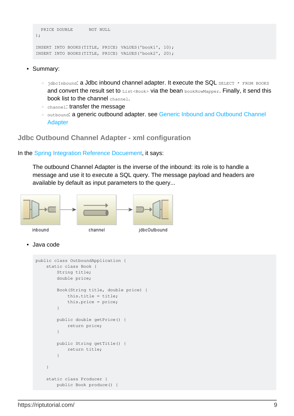```
 PRICE DOUBLE NOT NULL
);
INSERT INTO BOOKS(TITLE, PRICE) VALUES('book1', 10);
INSERT INTO BOOKS(TITLE, PRICE) VALUES('book2', 20);
```
- Summary:
	- jdbcInbound: a Jdbc inbound channel adapter. It execute the SQL SELECT \* FROM BOOKS and convert the result set to  $List via the bean  $bookRowMapper$ . Finally, it send this$ book list to the channel channel.
	- channel: transfer the message
	- outbound: a generic outbound adapter. see [Generic Inbound and Outbound Channel](http://www.riptutorial.com/spring-integration/example/26174/generic-inbound-and-outbound-channel-adapter) [Adapter](http://www.riptutorial.com/spring-integration/example/26174/generic-inbound-and-outbound-channel-adapter)

<span id="page-10-0"></span>**Jdbc Outbound Channel Adapter - xml configuration**

In the [Spring Integration Reference Docuement](http://docs.spring.io/spring-integration/reference/html/jdbc.html#jdbc-outbound-channel-adapter), it says:

The outbound Channel Adapter is the inverse of the inbound: its role is to handle a message and use it to execute a SQL query. The message payload and headers are available by default as input parameters to the query...



```
Java code
•
```

```
public class OutboundApplication {
    static class Book {
        String title;
        double price;
        Book(String title, double price) {
            this.title = title;
             this.price = price;
         }
         public double getPrice() {
            return price;
 }
         public String getTitle() {
            return title;
 }
     }
     static class Producer {
         public Book produce() {
```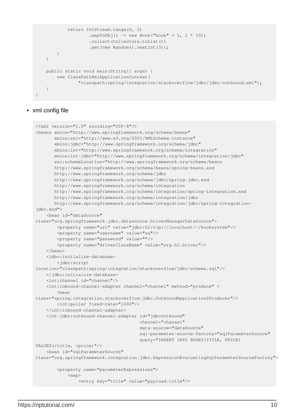```
 return IntStream.range(0, 3)
                     .mapToObj(i -> new Book("book" + i, i * 10))
                      .collect(Collectors.toList())
                      .get(new Random().nextInt(3));
         }
     }
    public static void main(String[] args) {
         new ClassPathXmlApplicationContext(
                  "classpath:spring/integration/stackoverflow/jdbc/jdbc-outbound.xml");
     }
}
```
#### • xml config file

```
<?xml version="1.0" encoding="UTF-8"?>
<beans xmlns="http://www.springframework.org/schema/beans"
        xmlns:xsi="http://www.w3.org/2001/XMLSchema-instance"
        xmlns:jdbc="http://www.springframework.org/schema/jdbc"
        xmlns:int="http://www.springframework.org/schema/integration"
        xmlns:int-jdbc="http://www.springframework.org/schema/integration/jdbc"
        xsi:schemaLocation="http://www.springframework.org/schema/beans
        http://www.springframework.org/schema/beans/spring-beans.xsd
        http://www.springframework.org/schema/jdbc
        http://www.springframework.org/schema/jdbc/spring-jdbc.xsd
        http://www.springframework.org/schema/integration
        http://www.springframework.org/schema/integration/spring-integration.xsd
        http://www.springframework.org/schema/integration/jdbc
        http://www.springframework.org/schema/integration/jdbc/spring-integration-
jdbc.xsd">
     <bean id="dataSource"
class="org.springframework.jdbc.datasource.DriverManagerDataSource">
         <property name="url" value="jdbc:h2:tcp://localhost/~/booksystem"/>
         <property name="username" value="sa"/>
         <property name="password" value=""/>
         <property name="driverClassName" value="org.h2.Driver"/>
     </bean>
     <jdbc:initialize-database>
         <jdbc:script
location="classpath:spring/integration/stackoverflow/jdbc/schema.sql"/>
     </jdbc:initialize-database>
     <int:channel id="channel"/>
     <int:inbound-channel-adapter channel="channel" method="produce" >
         <bean
class="spring.integration.stackoverflow.jdbc.OutboundApplication$Producer"/>
         <int:poller fixed-rate="1000"/>
     </int:inbound-channel-adapter>
     <int-jdbc:outbound-channel-adapter id="jdbcOutbound"
                                         channel="channel"
                                         data-source="dataSource"
                                         sql-parameter-source-factory="sqlParameterSource"
                                         query="INSERT INTO BOOKS(TITLE, PRICE)
VALUES(:title, :price)"/>
     <bean id="sqlParameterSource"
class="org.springframework.integration.jdbc.ExpressionEvaluatingSqlParameterSourceFactory">
         <property name="parameterExpressions">
             <map>
                 <entry key="title" value="payload.title"/>
```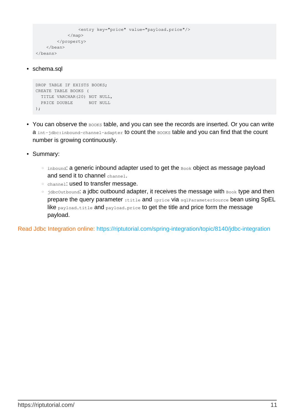```
 <entry key="price" value="payload.price"/>
              \langle/map\rangle </property>
     </bean>
</beans>
```
#### • schema.sql

```
DROP TABLE IF EXISTS BOOKS:
CREATE TABLE BOOKS (
 TITLE VARCHAR(20) NOT NULL,
 PRICE DOUBLE NOT NULL
);
```
- You can observe the  $_{\text{BOOKS}}$  table, and you can see the records are inserted. Or you can write a int-jdbc: inbound-channel-adapter to count the BOOKS table and you can find that the count number is growing continuously.
- Summary:
	- inbound: a generic inbound adapter used to get the Book object as message payload and send it to channel channel.
	- channel: used to transfer message.
	- jdbc0utbound: a jdbc outbound adapter, it receives the message with Book type and then prepare the query parameter : title and : price via sqlParameterSource bean using SpEL like payload.title and payload.price to get the title and price form the message payload.

Read Jdbc Integration online:<https://riptutorial.com/spring-integration/topic/8140/jdbc-integration>